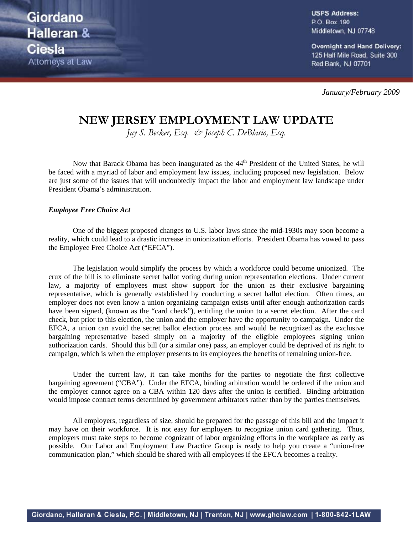Giordano Halleran & **Ciesla** Attorneys at Law **USPS Address:** P.O. Box 190 Middletown, NJ 07748

Overnight and Hand Delivery: 125 Half Mile Road, Suite 300 Red Bank, NJ 07701

*January/February 2009*

## **NEW JERSEY EMPLOYMENT LAW UPDATE**

*Jay S. Becker, Esq. & Joseph C. DeBlasio, Esq.*

Now that Barack Obama has been inaugurated as the 44<sup>th</sup> President of the United States, he will be faced with a myriad of labor and employment law issues, including proposed new legislation. Below are just some of the issues that will undoubtedly impact the labor and employment law landscape under President Obama's administration.

## *Employee Free Choice Act*

One of the biggest proposed changes to U.S. labor laws since the mid-1930s may soon become a reality, which could lead to a drastic increase in unionization efforts. President Obama has vowed to pass the Employee Free Choice Act ("EFCA").

The legislation would simplify the process by which a workforce could become unionized. The crux of the bill is to eliminate secret ballot voting during union representation elections. Under current law, a majority of employees must show support for the union as their exclusive bargaining representative, which is generally established by conducting a secret ballot election. Often times, an employer does not even know a union organizing campaign exists until after enough authorization cards have been signed, (known as the "card check"), entitling the union to a secret election. After the card check, but prior to this election, the union and the employer have the opportunity to campaign. Under the EFCA, a union can avoid the secret ballot election process and would be recognized as the exclusive bargaining representative based simply on a majority of the eligible employees signing union authorization cards. Should this bill (or a similar one) pass, an employer could be deprived of its right to campaign, which is when the employer presents to its employees the benefits of remaining union-free.

Under the current law, it can take months for the parties to negotiate the first collective bargaining agreement ("CBA"). Under the EFCA, binding arbitration would be ordered if the union and the employer cannot agree on a CBA within 120 days after the union is certified. Binding arbitration would impose contract terms determined by government arbitrators rather than by the parties themselves.

All employers, regardless of size, should be prepared for the passage of this bill and the impact it may have on their workforce. It is not easy for employers to recognize union card gathering. Thus, employers must take steps to become cognizant of labor organizing efforts in the workplace as early as possible. Our Labor and Employment Law Practice Group is ready to help you create a "union-free communication plan," which should be shared with all employees if the EFCA becomes a reality.